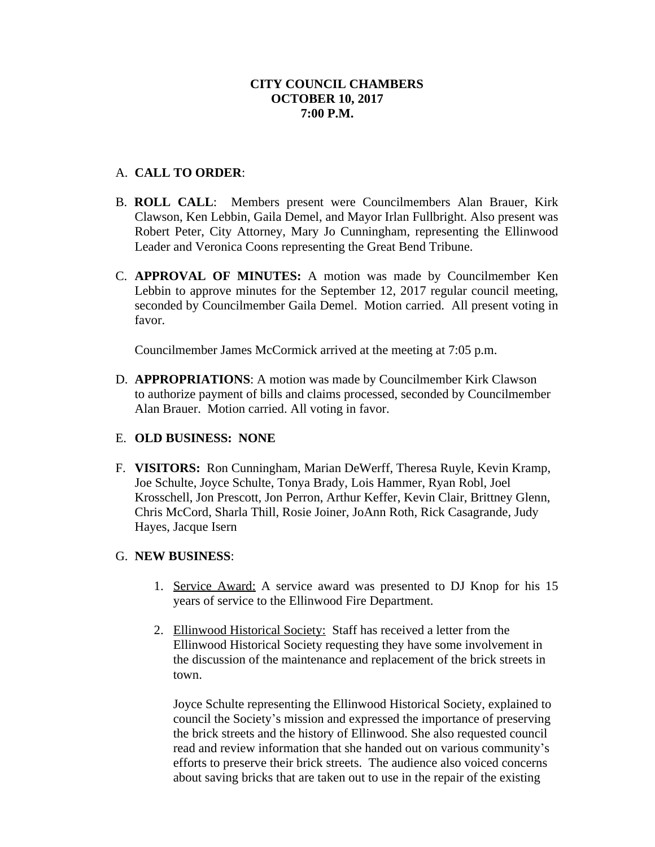## A. **CALL TO ORDER**:

- B. **ROLL CALL**: Members present were Councilmembers Alan Brauer, Kirk Clawson, Ken Lebbin, Gaila Demel, and Mayor Irlan Fullbright. Also present was Robert Peter, City Attorney, Mary Jo Cunningham, representing the Ellinwood Leader and Veronica Coons representing the Great Bend Tribune.
- C. **APPROVAL OF MINUTES:** A motion was made by Councilmember Ken Lebbin to approve minutes for the September 12, 2017 regular council meeting, seconded by Councilmember Gaila Demel. Motion carried. All present voting in favor.

Councilmember James McCormick arrived at the meeting at 7:05 p.m.

D. **APPROPRIATIONS**: A motion was made by Councilmember Kirk Clawson to authorize payment of bills and claims processed, seconded by Councilmember Alan Brauer. Motion carried. All voting in favor.

## E. **OLD BUSINESS: NONE**

F. **VISITORS:** Ron Cunningham, Marian DeWerff, Theresa Ruyle, Kevin Kramp, Joe Schulte, Joyce Schulte, Tonya Brady, Lois Hammer, Ryan Robl, Joel Krosschell, Jon Prescott, Jon Perron, Arthur Keffer, Kevin Clair, Brittney Glenn, Chris McCord, Sharla Thill, Rosie Joiner, JoAnn Roth, Rick Casagrande, Judy Hayes, Jacque Isern

## G. **NEW BUSINESS**:

- 1. Service Award: A service award was presented to DJ Knop for his 15 years of service to the Ellinwood Fire Department.
- 2. Ellinwood Historical Society: Staff has received a letter from the Ellinwood Historical Society requesting they have some involvement in the discussion of the maintenance and replacement of the brick streets in town.

Joyce Schulte representing the Ellinwood Historical Society, explained to council the Society's mission and expressed the importance of preserving the brick streets and the history of Ellinwood. She also requested council read and review information that she handed out on various community's efforts to preserve their brick streets. The audience also voiced concerns about saving bricks that are taken out to use in the repair of the existing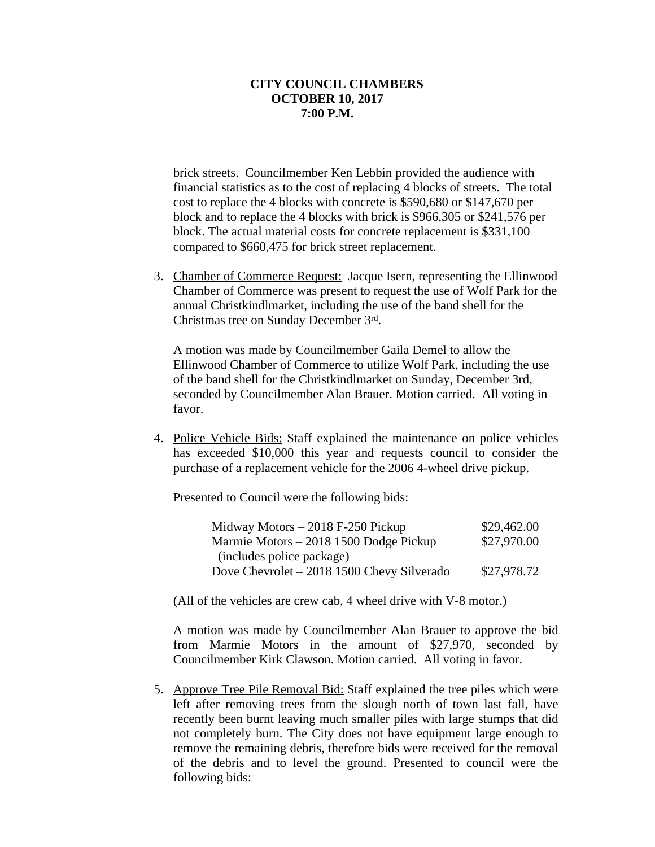brick streets. Councilmember Ken Lebbin provided the audience with financial statistics as to the cost of replacing 4 blocks of streets. The total cost to replace the 4 blocks with concrete is \$590,680 or \$147,670 per block and to replace the 4 blocks with brick is \$966,305 or \$241,576 per block. The actual material costs for concrete replacement is \$331,100 compared to \$660,475 for brick street replacement.

3. Chamber of Commerce Request: Jacque Isern, representing the Ellinwood Chamber of Commerce was present to request the use of Wolf Park for the annual Christkindlmarket, including the use of the band shell for the Christmas tree on Sunday December 3rd .

A motion was made by Councilmember Gaila Demel to allow the Ellinwood Chamber of Commerce to utilize Wolf Park, including the use of the band shell for the Christkindlmarket on Sunday, December 3rd, seconded by Councilmember Alan Brauer. Motion carried. All voting in favor.

4. Police Vehicle Bids: Staff explained the maintenance on police vehicles has exceeded \$10,000 this year and requests council to consider the purchase of a replacement vehicle for the 2006 4-wheel drive pickup.

Presented to Council were the following bids:

| Midway Motors $-2018$ F-250 Pickup          | \$29,462.00 |
|---------------------------------------------|-------------|
| Marmie Motors – 2018 1500 Dodge Pickup      | \$27,970.00 |
| (includes police package)                   |             |
| Dove Chevrolet $-2018$ 1500 Chevy Silverado | \$27,978.72 |

(All of the vehicles are crew cab, 4 wheel drive with V-8 motor.)

A motion was made by Councilmember Alan Brauer to approve the bid from Marmie Motors in the amount of \$27,970, seconded by Councilmember Kirk Clawson. Motion carried. All voting in favor.

5. Approve Tree Pile Removal Bid: Staff explained the tree piles which were left after removing trees from the slough north of town last fall, have recently been burnt leaving much smaller piles with large stumps that did not completely burn. The City does not have equipment large enough to remove the remaining debris, therefore bids were received for the removal of the debris and to level the ground. Presented to council were the following bids: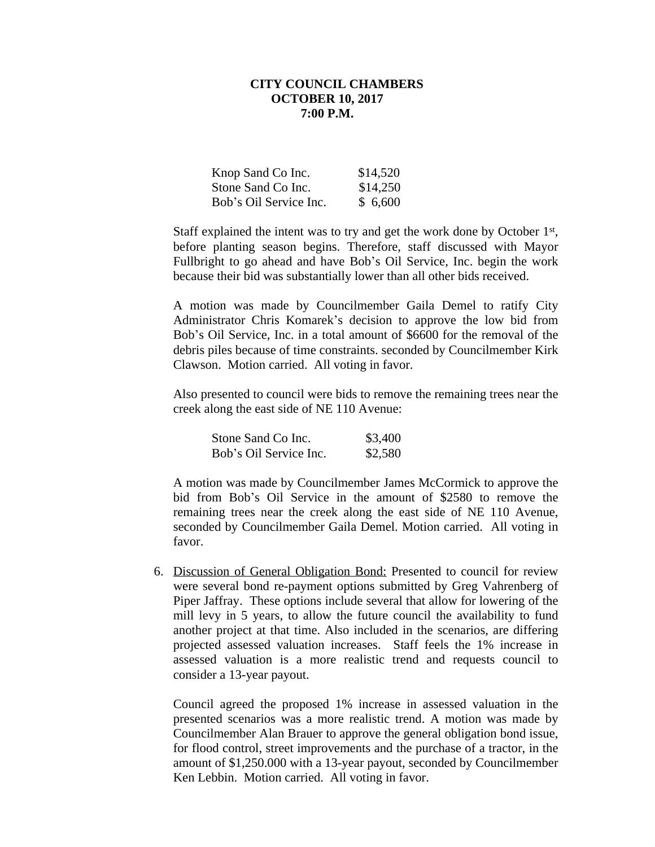| Knop Sand Co Inc.      | \$14,520 |
|------------------------|----------|
| Stone Sand Co Inc.     | \$14,250 |
| Bob's Oil Service Inc. | \$6,600  |

Staff explained the intent was to try and get the work done by October 1<sup>st</sup>, before planting season begins. Therefore, staff discussed with Mayor Fullbright to go ahead and have Bob's Oil Service, Inc. begin the work because their bid was substantially lower than all other bids received.

A motion was made by Councilmember Gaila Demel to ratify City Administrator Chris Komarek's decision to approve the low bid from Bob's Oil Service, Inc. in a total amount of \$6600 for the removal of the debris piles because of time constraints. seconded by Councilmember Kirk Clawson. Motion carried. All voting in favor.

Also presented to council were bids to remove the remaining trees near the creek along the east side of NE 110 Avenue:

| Stone Sand Co Inc.     | \$3,400 |
|------------------------|---------|
| Bob's Oil Service Inc. | \$2,580 |

A motion was made by Councilmember James McCormick to approve the bid from Bob's Oil Service in the amount of \$2580 to remove the remaining trees near the creek along the east side of NE 110 Avenue, seconded by Councilmember Gaila Demel. Motion carried. All voting in favor.

6. Discussion of General Obligation Bond: Presented to council for review were several bond re-payment options submitted by Greg Vahrenberg of Piper Jaffray. These options include several that allow for lowering of the mill levy in 5 years, to allow the future council the availability to fund another project at that time. Also included in the scenarios, are differing projected assessed valuation increases. Staff feels the 1% increase in assessed valuation is a more realistic trend and requests council to consider a 13-year payout.

Council agreed the proposed 1% increase in assessed valuation in the presented scenarios was a more realistic trend. A motion was made by Councilmember Alan Brauer to approve the general obligation bond issue, for flood control, street improvements and the purchase of a tractor, in the amount of \$1,250.000 with a 13-year payout, seconded by Councilmember Ken Lebbin. Motion carried. All voting in favor.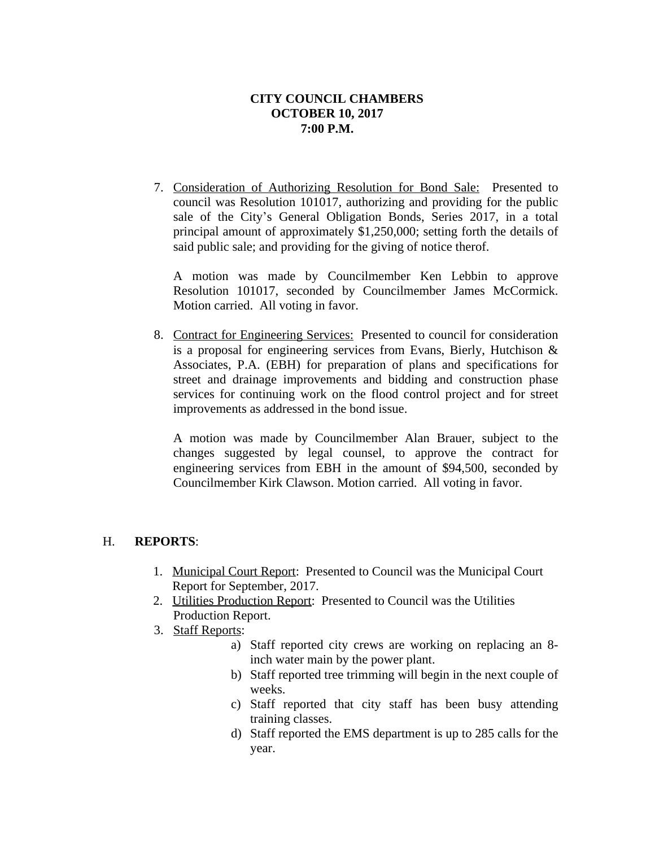7. Consideration of Authorizing Resolution for Bond Sale: Presented to council was Resolution 101017, authorizing and providing for the public sale of the City's General Obligation Bonds, Series 2017, in a total principal amount of approximately \$1,250,000; setting forth the details of said public sale; and providing for the giving of notice therof.

A motion was made by Councilmember Ken Lebbin to approve Resolution 101017, seconded by Councilmember James McCormick. Motion carried. All voting in favor.

8. Contract for Engineering Services: Presented to council for consideration is a proposal for engineering services from Evans, Bierly, Hutchison & Associates, P.A. (EBH) for preparation of plans and specifications for street and drainage improvements and bidding and construction phase services for continuing work on the flood control project and for street improvements as addressed in the bond issue.

A motion was made by Councilmember Alan Brauer, subject to the changes suggested by legal counsel, to approve the contract for engineering services from EBH in the amount of \$94,500, seconded by Councilmember Kirk Clawson. Motion carried. All voting in favor.

# H. **REPORTS**:

- 1. Municipal Court Report: Presented to Council was the Municipal Court Report for September, 2017.
- 2. Utilities Production Report: Presented to Council was the Utilities Production Report.
- 3. Staff Reports:
	- a) Staff reported city crews are working on replacing an 8 inch water main by the power plant.
	- b) Staff reported tree trimming will begin in the next couple of weeks.
	- c) Staff reported that city staff has been busy attending training classes.
	- d) Staff reported the EMS department is up to 285 calls for the year.